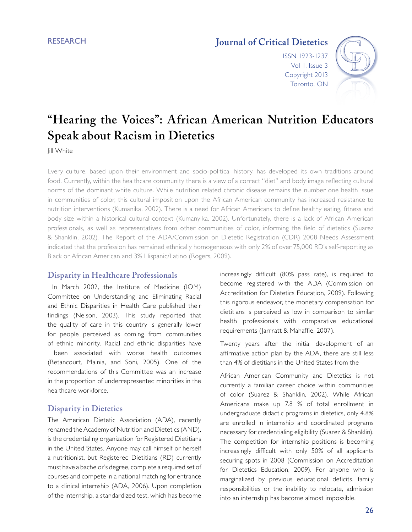**RESEARCH** 

# **Journal of Critical Dietetics**

ISSN 1923-1237 Vol 1, Issue 3 Copyright 2013 Toronto, ON



# **"Hearing the Voices": African American Nutrition Educators Speak about Racism in Dietetics**

**Jill White** 

Every culture, based upon their environment and socio-political history, has developed its own traditions around food. Currently, within the healthcare community there is a view of a correct "diet" and body image reflecting cultural norms of the dominant white culture. While nutrition related chronic disease remains the number one health issue in communities of color, this cultural imposition upon the African American community has increased resistance to nutrition interventions (Kumanika, 2002). There is a need for African Americans to define healthy eating, fitness and body size within a historical cultural context (Kumanyika, 2002). Unfortunately, there is a lack of African American professionals, as well as representatives from other communities of color, informing the field of dietetics (Suarez & Shanklin, 2002). The Report of the ADA/Commission on Dietetic Registration (CDR) 2008 Needs Assessment indicated that the profession has remained ethnically homogeneous with only 2% of over 75,000 RD's self-reporting as Black or African American and 3% Hispanic/Latino (Rogers, 2009).

### **Disparity in Healthcare Professionals**

 In March 2002, the Institute of Medicine (IOM) Committee on Understanding and Eliminating Racial and Ethnic Disparities in Health Care published their findings (Nelson, 2003). This study reported that the quality of care in this country is generally lower for people perceived as coming from communities of ethnic minority. Racial and ethnic disparities have

 been associated with worse health outcomes (Betancourt, Mainia, and Soni, 2005). One of the recommendations of this Committee was an increase in the proportion of underrepresented minorities in the healthcare workforce.

### **Disparity in Dietetics**

The American Dietetic Association (ADA), recently renamed the Academy of Nutrition and Dietetics (AND), is the credentialing organization for Registered Dietitians in the United States. Anyone may call himself or herself a nutritionist, but Registered Dietitians (RD) currently must have a bachelor's degree, complete a required set of courses and compete in a national matching for entrance to a clinical internship (ADA, 2006). Upon completion of the internship, a standardized test, which has become

increasingly difficult (80% pass rate), is required to become registered with the ADA (Commission on Accreditation for Dietetics Education, 2009). Following this rigorous endeavor, the monetary compensation for dietitians is perceived as low in comparison to similar health professionals with comparative educational requirements (Jarrratt & Mahaffie, 2007).

Twenty years after the initial development of an affirmative action plan by the ADA, there are still less than 4% of dietitians in the United States from the

African American Community and Dietetics is not currently a familiar career choice within communities of color (Suarez & Shanklin, 2002). While African Americans make up 7.8 % of total enrollment in undergraduate didactic programs in dietetics, only 4.8% are enrolled in internship and coordinated programs necessary for credentialing eligibility (Suarez & Shanklin). The competition for internship positions is becoming increasingly difficult with only 50% of all applicants securing spots in 2008 (Commission on Accreditation for Dietetics Education, 2009). For anyone who is marginalized by previous educational deficits, family responsibilities or the inability to relocate, admission into an internship has become almost impossible.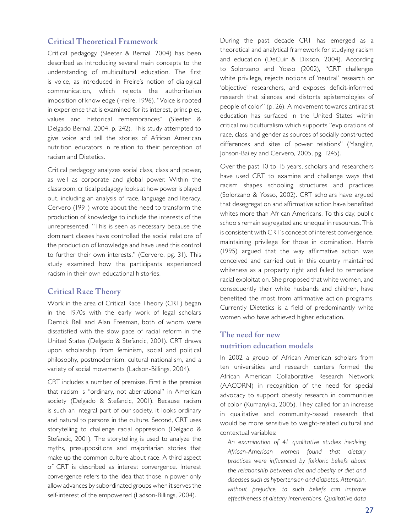### **Critical Theoretical Framework**

Critical pedagogy (Sleeter & Bernal, 2004) has been described as introducing several main concepts to the understanding of multicultural education. The first is voice, as introduced in Freire's notion of dialogical communication, which rejects the authoritarian imposition of knowledge (Freire, 1996). "Voice is rooted in experience that is examined for its interest, principles, values and historical remembrances" (Sleeter & Delgado Bernal, 2004, p. 242). This study attempted to give voice and tell the stories of African American nutrition educators in relation to their perception of racism and Dietetics.

Critical pedagogy analyzes social class, class and power, as well as corporate and global power. Within the classroom, critical pedagogy looks at how power is played out, including an analysis of race, language and literacy. Cervero (1991) wrote about the need to transform the production of knowledge to include the interests of the unrepresented. "This is seen as necessary because the dominant classes have controlled the social relations of the production of knowledge and have used this control to further their own interests." (Cervero, pg. 31). This study examined how the participants experienced racism in their own educational histories.

# **Critical Race Theory**

Work in the area of Critical Race Theory (CRT) began in the 1970s with the early work of legal scholars Derrick Bell and Alan Freeman, both of whom were dissatisfied with the slow pace of racial reform in the United States (Delgado & Stefancic, 2001). CRT draws upon scholarship from feminism, social and political philosophy, postmodernism, cultural nationalism, and a variety of social movements (Ladson-Billings, 2004).

CRT includes a number of premises. First is the premise that racism is "ordinary, not aberrational" in American society (Delgado & Stefancic, 2001). Because racism is such an integral part of our society, it looks ordinary and natural to persons in the culture. Second, CRT uses storytelling to challenge racial oppression (Delgado & Stefancic, 2001). The storytelling is used to analyze the myths, presuppositions and majoritarian stories that make up the common culture about race. A third aspect of CRT is described as interest convergence. Interest convergence refers to the idea that those in power only allow advances by subordinated groups when it serves the self-interest of the empowered (Ladson-Billings, 2004).

During the past decade CRT has emerged as a theoretical and analytical framework for studying racism and education (DeCuir & Dixson, 2004). According to Solorzano and Yosso (2002), "CRT challenges white privilege, rejects notions of 'neutral' research or 'objective' researchers, and exposes deficit-informed research that silences and distorts epistemologies of people of color" (p. 26). A movement towards antiracist education has surfaced in the United States within critical multiculturalism which supports "explorations of race, class, and gender as sources of socially constructed differences and sites of power relations" (Manglitz, Johson-Bailey and Cervero, 2005, pg. 1245).

Over the past 10 to 15 years, scholars and researchers have used CRT to examine and challenge ways that racism shapes schooling structures and practices (Solorzano & Yosso, 2002). CRT scholars have argued that desegregation and affirmative action have benefited whites more than African Americans. To this day, public schools remain segregated and unequal in resources. This is consistent with CRT's concept of interest convergence, maintaining privilege for those in domination. Harris (1995) argued that the way affirmative action was conceived and carried out in this country maintained whiteness as a property right and failed to remediate racial exploitation. She proposed that white women, and consequently their white husbands and children, have benefited the most from affirmative action programs. Currently Dietetics is a field of predominantly white women who have achieved higher education*.* 

# **The need for new nutrition education models**

In 2002 a group of African American scholars from ten universities and research centers formed the African American Collaborative Research Network (AACORN) in recognition of the need for special advocacy to support obesity research in communities of color (Kumanyika, 2005). They called for an increase in qualitative and community-based research that would be more sensitive to weight-related cultural and contextual variables:

*An examination of 41 qualitative studies involving African-American women found that dietary practices were influenced by folkloric beliefs about the relationship between diet and obesity or diet and diseases such as hypertension and diabetes. Attention, without prejudice, to such beliefs can improve effectiveness of dietary interventions. Qualitative data*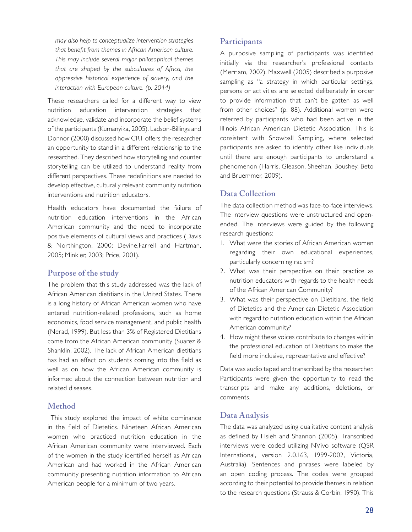*may also help to conceptualize intervention strategies that benefit from themes in African American culture. This may include several major philosophical themes that are shaped by the subcultures of Africa, the oppressive historical experience of slavery, and the interaction with European culture. (p. 2044)*

These researchers called for a different way to view nutrition education intervention strategies that acknowledge, validate and incorporate the belief systems of the participants (Kumanyika, 2005). Ladson-Billings and Donnor (2000) discussed how CRT offers the researcher an opportunity to stand in a different relationship to the researched. They described how storytelling and counter storytelling can be utilized to understand reality from different perspectives. These redefinitions are needed to develop effective, culturally relevant community nutrition interventions and nutrition educators.

Health educators have documented the failure of nutrition education interventions in the African American community and the need to incorporate positive elements of cultural views and practices (Davis & Northington, 2000; Devine,Farrell and Hartman, 2005; Minkler, 2003; Price, 2001).

# **Purpose of the study**

The problem that this study addressed was the lack of African American dietitians in the United States. There is a long history of African American women who have entered nutrition-related professions, such as home economics, food service management, and public health (Nerad, 1999). But less than 3% of Registered Dietitians come from the African American community (Suarez & Shanklin, 2002). The lack of African American dietitians has had an effect on students coming into the field as well as on how the African American community is informed about the connection between nutrition and related diseases.

# **Method**

 This study explored the impact of white dominance in the field of Dietetics. Nineteen African American women who practiced nutrition education in the African American community were interviewed. Each of the women in the study identified herself as African American and had worked in the African American community presenting nutrition information to African American people for a minimum of two years.

# **Participants**

A purposive sampling of participants was identified initially via the researcher's professional contacts (Merriam, 2002). Maxwell (2005) described a purposive sampling as "a strategy in which particular settings, persons or activities are selected deliberately in order to provide information that can't be gotten as well from other choices" (p. 88). Additional women were referred by participants who had been active in the Illinois African American Dietetic Association. This is consistent with Snowball Sampling, where selected participants are asked to identify other like individuals until there are enough participants to understand a phenomenon (Harris, Gleason, Sheehan, Boushey, Beto and Bruemmer, 2009).

# **Data Collection**

The data collection method was face-to-face interviews. The interview questions were unstructured and openended. The interviews were guided by the following research questions:

- 1. What were the stories of African American women regarding their own educational experiences, particularly concerning racism?
- 2. What was their perspective on their practice as nutrition educators with regards to the health needs of the African American Community?
- 3. What was their perspective on Dietitians, the field of Dietetics and the American Dietetic Association with regard to nutrition education within the African American community?
- 4. How might these voices contribute to changes within the professional education of Dietitians to make the field more inclusive, representative and effective?

Data was audio taped and transcribed by the researcher. Participants were given the opportunity to read the transcripts and make any additions, deletions, or comments.

# **Data Analysis**

The data was analyzed using qualitative content analysis as defined by Hsieh and Shannon (2005). Transcribed interviews were coded utilizing NVivo software (QSR International, version 2.0.163, 1999-2002, Victoria, Australia). Sentences and phrases were labeled by an open coding process. The codes were grouped according to their potential to provide themes in relation to the research questions (Strauss & Corbin, 1990). This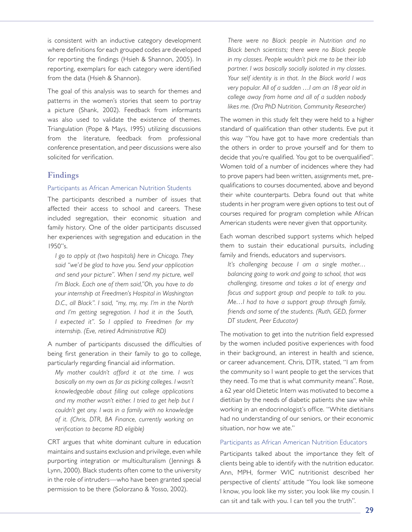is consistent with an inductive category development where definitions for each grouped codes are developed for reporting the findings (Hsieh & Shannon, 2005). In reporting, exemplars for each category were identified from the data (Hsieh & Shannon).

The goal of this analysis was to search for themes and patterns in the women's stories that seem to portray a picture (Shank, 2002). Feedback from informants was also used to validate the existence of themes. Triangulation (Pope & Mays, 1995) utilizing discussions from the literature, feedback from professional conference presentation, and peer discussions were also solicited for verification.

### **Findings**

### Participants as African American Nutrition Students

The participants described a number of issues that affected their access to school and careers. These included segregation, their economic situation and family history. One of the older participants discussed her experiences with segregation and education in the 1950"s.

*I go to apply at (two hospitals) here in Chicago. They said "we'd be glad to have you. Send your application and send your picture". When I send my picture, well I'm Black. Each one of them said,"Oh, you have to do your internship at Freedmen's Hospital in Washington D.C., all Black". I said, "my, my, my. I'm in the North and I'm getting segregation. I had it in the South, I expected it". So I applied to Freedmen for my internship. (Eve, retired Administrative RD)*

A number of participants discussed the difficulties of being first generation in their family to go to college, particularly regarding financial aid information.

*My mother couldn't afford it at the time. I was basically on my own as far as picking colleges. I wasn't knowledgeable about filling out college applications and my mother wasn't either. I tried to get help but I couldn't get any. I was in a family with no knowledge of it. (Chris, DTR, BA Finance, currently working on verification to become RD eligible)* 

CRT argues that white dominant culture in education maintains and sustains exclusion and privilege, even while purporting integration or multiculturalism (Jennings & Lynn, 2000). Black students often come to the university in the role of intruders—who have been granted special permission to be there (Solorzano & Yosso, 2002).

*There were no Black people in Nutrition and no Black bench scientists; there were no Black people in my classes. People wouldn't pick me to be their lab partner. I was basically socially isolated in my classes. Your self identity is in that. In the Black world I was very popular. All of a sudden …I am an 18 year old in college away from home and all of a sudden nobody likes me. (Ora PhD Nutrition, Community Researcher)*

The women in this study felt they were held to a higher standard of qualification than other students. Eve put it this way "You have got to have more credentials than the others in order to prove yourself and for them to decide that you're qualified. You got to be overqualified". Women told of a number of incidences where they had to prove papers had been written, assignments met, prequalifications to courses documented, above and beyond their white counterparts. Debra found out that white students in her program were given options to test out of courses required for program completion while African American students were never given that opportunity.

Each woman described support systems which helped them to sustain their educational pursuits, including family and friends, educators and supervisors.

*It's challenging because I am a single mother… balancing going to work and going to school, that was challenging, tiresome and takes a lot of energy and focus and support group and people to talk to you. Me…I had to have a support group through family, friends and some of the students. (Ruth, GED, former DT student, Peer Educator)*

The motivation to get into the nutrition field expressed by the women included positive experiences with food in their background, an interest in health and science, or career advancement. Chris, DTR, stated, "I am from the community so I want people to get the services that they need. To me that is what community means". Rose, a 62 year old Dietetic Intern was motivated to become a dietitian by the needs of diabetic patients she saw while working in an endocrinologist's office. "White dietitians had no understanding of our seniors, or their economic situation, nor how we ate."

#### Participants as African American Nutrition Educators

Participants talked about the importance they felt of clients being able to identify with the nutrition educator. Ann, MPH, former WIC nutritionist described her perspective of clients' attitude "You look like someone I know, you look like my sister, you look like my cousin. I can sit and talk with you. I can tell you the truth".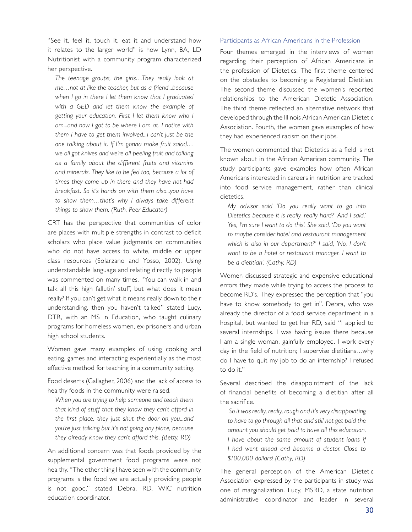"See it, feel it, touch it, eat it and understand how it relates to the larger world" is how Lynn, BA, LD Nutritionist with a community program characterized her perspective.

*The teenage groups, the girls…They really look at me…not at like the teacher, but as a friend...because when I go in there I let them know that I graduated with a GED and let them know the example of getting your education. First I let them know who I am...and how I got to be where I am at. I notice with them I have to get them involved...I can't just be the one talking about it. If I'm gonna make fruit salad… we all got knives and we're all peeling fruit and talking as a family about the different fruits and vitamins and minerals. They like to be fed too, because a lot of times they come up in there and they have not had breakfast. So it's hands on with them also...you have to show them…that's why I always take different things to show them. (Ruth, Peer Educator)* 

CRT has the perspective that communities of color are places with multiple strengths in contrast to deficit scholars who place value judgments on communities who do not have access to white, middle or upper class resources (Solarzano and Yosso, 2002). Using understandable language and relating directly to people was commented on many times. "You can walk in and talk all this high fallutin' stuff, but what does it mean really? If you can't get what it means really down to their understanding, then you haven't talked" stated Lucy, DTR, with an MS in Education, who taught culinary programs for homeless women, ex-prisoners and urban high school students.

Women gave many examples of using cooking and eating, games and interacting experientially as the most effective method for teaching in a community setting.

Food deserts (Gallagher, 2006) and the lack of access to healthy foods in the community were raised.

*When you are trying to help someone and teach them that kind of stuff that they know they can't afford in the first place, they just shut the door on you...and you're just talking but it's not going any place, because they already know they can't afford this. (Betty, RD)*

An additional concern was that foods provided by the supplemental government food programs were not healthy. "The other thing I have seen with the community programs is the food we are actually providing people is not good." stated Debra, RD, WIC nutrition education coordinator.

#### Participants as African Americans in the Profession

Four themes emerged in the interviews of women regarding their perception of African Americans in the profession of Dietetics. The first theme centered on the obstacles to becoming a Registered Dietitian. The second theme discussed the women's reported relationships to the American Dietetic Association. The third theme reflected an alternative network that developed through the Illinois African American Dietetic Association. Fourth, the women gave examples of how they had experienced racism on their jobs.

The women commented that Dietetics as a field is not known about in the African American community. The study participants gave examples how often African Americans interested in careers in nutrition are tracked into food service management, rather than clinical dietetics.

*My advisor said 'Do you really want to go into Dietetics because it is really, really hard?' And I said,' Yes, I'm sure I want to do this'. She said, 'Do you want to maybe consider hotel and restaurant management which is also in our department?' I said, 'No, I don't want to be a hotel or restaurant manager. I want to be a dietitian'. (Cathy, RD)*

Women discussed strategic and expensive educational errors they made while trying to access the process to become RD's. They expressed the perception that "you have to know somebody to get in". Debra, who was already the director of a food service department in a hospital, but wanted to get her RD, said "I applied to several internships. I was having issues there because I am a single woman, gainfully employed. I work every day in the field of nutrition; I supervise dietitians…why do I have to quit my job to do an internship? I refused to do it."

Several described the disappointment of the lack of financial benefits of becoming a dietitian after all the sacrifice.

 *So it was really, really, rough and it's very disappointing to have to go through all that and still not get paid the amount you should get paid to have all this education. I have about the same amount of student loans if I had went ahead and become a doctor. Close to \$100,000 dollars! (Cathy, RD)*

The general perception of the American Dietetic Association expressed by the participants in study was one of marginalization. Lucy, MSRD, a state nutrition administrative coordinator and leader in several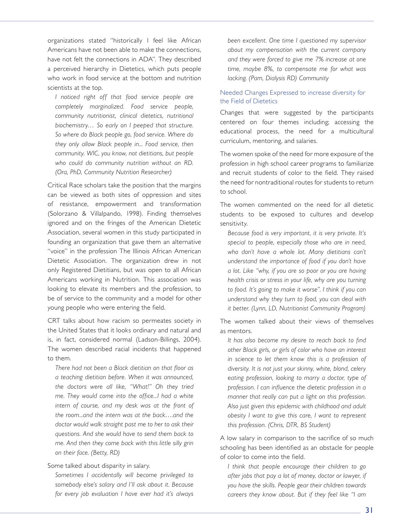organizations stated "historically I feel like African Americans have not been able to make the connections, have not felt the connections in ADA". They described a perceived hierarchy in Dietetics, which puts people who work in food service at the bottom and nutrition scientists at the top.

*I noticed right off that food service people are completely marginalized. Food service people, community nutritionist, clinical dietetics, nutritional biochemistry… So early on I peeped that structure. So where do Black people go, food service. Where do they only allow Black people in... Food service, then community. WIC, you know, not dietitians, but people who could do community nutrition without an RD. (Ora, PhD, Community Nutrition Researcher)*

Critical Race scholars take the position that the margins can be viewed as both sites of oppression and sites of resistance, empowerment and transformation (Solorzano & Villalpando, 1998). Finding themselves ignored and on the fringes of the American Dietetic Association, several women in this study participated in founding an organization that gave them an alternative "voice" in the profession The Illinois African American Dietetic Association. The organization drew in not only Registered Dietitians, but was open to all African Americans working in Nutrition. This association was looking to elevate its members and the profession, to be of service to the community and a model for other young people who were entering the field.

CRT talks about how racism so permeates society in the United States that it looks ordinary and natural and is, in fact, considered normal (Ladson-Billings, 2004). The women described racial incidents that happened to them.

*There had not been a Black dietitian on that floor as a teaching dietitian before. When it was announced, the doctors were all like, "What!" Oh they tried me. They would come into the office...I had a white intern of course, and my desk was at the front of the room...and the intern was at the back….and the doctor would walk straight past me to her to ask their questions. And she would have to send them back to me. And then they come back with this little silly grin on their face. (Betty, RD)*

Some talked about disparity in salary.

*Sometimes I accidentally will become privileged to somebody else's salary and I'll ask about it. Because for every job evaluation I have ever had it's always* 

*been excellent. One time I questioned my supervisor about my compensation with the current company and they were forced to give me 7% increase at one time, maybe 8%, to compensate me for what was lacking. (Pam, Dialysis RD) Community*

### Needed Changes Expressed to increase diversity for the Field of Dietetics

Changes that were suggested by the participants centered on four themes including; accessing the educational process, the need for a multicultural curriculum, mentoring, and salaries.

The women spoke of the need for more exposure of the profession in high school career programs to familiarize and recruit students of color to the field. They raised the need for nontraditional routes for students to return to school.

The women commented on the need for all dietetic students to be exposed to cultures and develop sensitivity.

*Because food is very important, it is very private. It's special to people, especially those who are in need, who don't have a whole lot. Many dietitians can't understand the importance of food if you don't have a lot. Like "why, if you are so poor or you are having health crisis or stress in your life, why are you turning to food. It's going to make it worse". I think if you can understand why they turn to food, you can deal with it better. (Lynn, LD, Nutritionist Community Program)*

The women talked about their views of themselves as mentors.

*It has also become my desire to reach back to find other Black girls, or girls of color who have an interest in science to let them know this is a profession of diversity. It is not just your skinny, white, blond, celery eating profession, looking to marry a doctor, type of profession. I can influence the dietetic profession in a manner that really can put a light on this profession. Also just given this epidemic with childhood and adult obesity I want to give this care, I want to represent this profession. (Chris, DTR, BS Student)* 

A low salary in comparison to the sacrifice of so much schooling has been identified as an obstacle for people of color to come into the field.

*I think that people encourage their children to go after jobs that pay a lot of money, doctor or lawyer, if you have the skills. People gear their children towards careers they know about. But if they feel like "I am*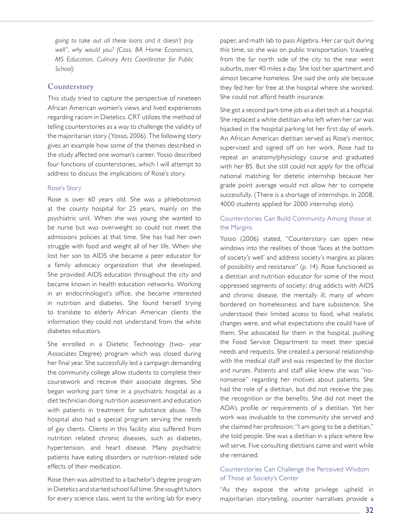*going to take out all these loans and it doesn't pay well", why would you? (Cass, BA Home Economics, MS Education, Culinary Arts Coordinator for Public School)*

### **Counterstory**

This study tried to capture the perspective of nineteen African American women's views and lived experiences regarding racism in Dietetics. CRT utilizes the method of telling counterstories as a way to challenge the validity of the majoritarian story (Yosso, 2006). The following story gives an example how some of the themes described in the study affected one woman's career. Yosso described four functions of counterstories, which I will attempt to address to discuss the implications of Rose's story.

### Rose's Story

Rose is over 60 years old. She was a phlebotomist at the county hospital for 25 years, mainly on the psychiatric unit. When she was young she wanted to be nurse but was overweight so could not meet the admissions policies at that time. She has had her own struggle with food and weight all of her life. When she lost her son to AIDS she became a peer educator for a family advocacy organization that she developed. She provided AIDS education throughout the city and became known in health education networks. Working in an endocrinologist's office, she became interested in nutrition and diabetes. She found herself trying to translate to elderly African American clients the information they could not understand from the white diabetes educators.

She enrolled in a Dietetic Technology (two- year Associates Degree) program which was closed during her final year. She successfully led a campaign demanding the community college allow students to complete their coursework and receive their associate degrees. She began working part time in a psychiatric hospital as a diet technician doing nutrition assessment and education with patients in treatment for substance abuse. The hospital also had a special program serving the needs of gay clients. Clients in this facility also suffered from nutrition related chronic diseases, such as diabetes, hypertension, and heart disease. Many psychiatric patients have eating disorders or nutrition-related side effects of their medication.

Rose then was admitted to a bachelor's degree program in Dietetics and started school full time. She sought tutors for every science class, went to the writing lab for every

paper, and math lab to pass Algebra. Her car quit during this time, so she was on public transportation, traveling from the far north side of the city to the near west suburbs, over 40 miles a day. She lost her apartment and almost became homeless. She said she only ate because they fed her for free at the hospital where she worked. She could not afford health insurance.

She got a second part-time job as a diet tech at a hospital. She replaced a white dietitian who left when her car was hijacked in the hospital parking lot her first day of work. An African American dietitian served as Rose's mentor, supervised and signed off on her work. Rose had to repeat an anatomy/physiology course and graduated with her BS. But she still could not apply for the official national matching for dietetic internship because her grade point average would not allow her to compete successfully. (There is a shortage of internships. In 2008, 4000 students applied for 2000 internship slots).

### Counterstories Can Build Community Among those at the Margins

Yosso (2006) stated, "Counterstory can open new windows into the realities of those 'faces at the bottom of society's well' and address society's margins as places of possibility and resistance" (p. 14). Rose functioned as a dietitian and nutrition educator for some of the most oppressed segments of society; drug addicts with AIDS and chronic disease, the mentally ill, many of whom bordered on homelessness and bare subsistence. She understood their limited access to food, what realistic changes were, and what expectations she could have of them. She advocated for them in the hospital, pushing the Food Service Department to meet their special needs and requests. She created a personal relationship with the medical staff and was respected by the doctor and nurses. Patients and staff alike knew she was "nononsense" regarding her motives about patients. She had the role of a dietitian, but did not receive the pay, the recognition or the benefits. She did not meet the ADA's profile or requirements of a dietitian. Yet her work was invaluable to the community she served and she claimed her profession; "I am going to be a dietitian," she told people. She was a dietitian in a place where few will serve. Five consulting dietitians came and went while she remained.

### Counterstories Can Challenge the Perceived Wisdom of Those at Society's Center

"As they expose the white privilege upheld in majoritarian storytelling, counter narratives provide a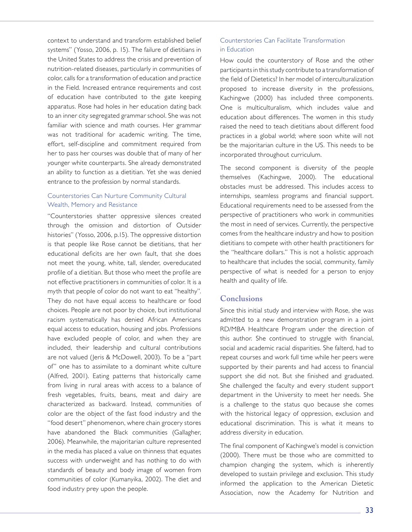context to understand and transform established belief systems" (Yosso, 2006, p. 15). The failure of dietitians in the United States to address the crisis and prevention of nutrition-related diseases, particularly in communities of color, calls for a transformation of education and practice in the Field. Increased entrance requirements and cost of education have contributed to the gate keeping apparatus. Rose had holes in her education dating back to an inner city segregated grammar school. She was not familiar with science and math courses. Her grammar was not traditional for academic writing. The time, effort, self-discipline and commitment required from her to pass her courses was double that of many of her younger white counterparts. She already demonstrated an ability to function as a dietitian. Yet she was denied entrance to the profession by normal standards.

### Counterstories Can Nurture Community Cultural Wealth, Memory and Resistance

"Counterstories shatter oppressive silences created through the omission and distortion of Outsider histories" (Yosso, 2006, p.15). The oppressive distortion is that people like Rose cannot be dietitians, that her educational deficits are her own fault, that she does not meet the young, white, tall, slender, overeducated profile of a dietitian. But those who meet the profile are not effective practitioners in communities of color. It is a myth that people of color do not want to eat "healthy". They do not have equal access to healthcare or food choices. People are not poor by choice, but institutional racism systematically has denied African Americans equal access to education, housing and jobs. Professions have excluded people of color, and when they are included, their leadership and cultural contributions are not valued (Jeris & McDowell, 2003). To be a "part of" one has to assimilate to a dominant white culture (Alfred, 2001). Eating patterns that historically came from living in rural areas with access to a balance of fresh vegetables, fruits, beans, meat and dairy are characterized as backward. Instead, communities of color are the object of the fast food industry and the "food desert" phenomenon, where chain grocery stores have abandoned the Black communities (Gallagher, 2006). Meanwhile, the majoritarian culture represented in the media has placed a value on thinness that equates success with underweight and has nothing to do with standards of beauty and body image of women from communities of color (Kumanyika, 2002). The diet and food industry prey upon the people.

### Counterstories Can Facilitate Transformation in Education

How could the counterstory of Rose and the other participants in this study contribute to a transformation of the field of Dietetics? In her model of interculturalization proposed to increase diversity in the professions, Kachingwe (2000) has included three components. One is multiculturalism, which includes value and education about differences. The women in this study raised the need to teach dietitians about different food practices in a global world; where soon white will not be the majoritarian culture in the US. This needs to be incorporated throughout curriculum.

The second component is diversity of the people themselves (Kachingwe, 2000). The educational obstacles must be addressed. This includes access to internships, seamless programs and financial support. Educational requirements need to be assessed from the perspective of practitioners who work in communities the most in need of services. Currently, the perspective comes from the healthcare industry and how to position dietitians to compete with other health practitioners for the "healthcare dollars." This is not a holistic approach to healthcare that includes the social, community, family perspective of what is needed for a person to enjoy health and quality of life.

# **Conclusions**

Since this initial study and interview with Rose, she was admitted to a new demonstration program in a joint RD/MBA Healthcare Program under the direction of this author. She continued to struggle with financial, social and academic racial disparities. She falterd, had to repeat courses and work full time while her peers were supported by their parents and had access to financial support she did not. But she finished and graduated. She challenged the faculty and every student support department in the University to meet her needs. She is a challenge to the status quo because she comes with the historical legacy of oppression, exclusion and educational discrimination. This is what it means to address diversity in education.

The final component of Kachingwe's model is conviction (2000). There must be those who are committed to champion changing the system, which is inherently developed to sustain privilege and exclusion. This study informed the application to the American Dietetic Association, now the Academy for Nutrition and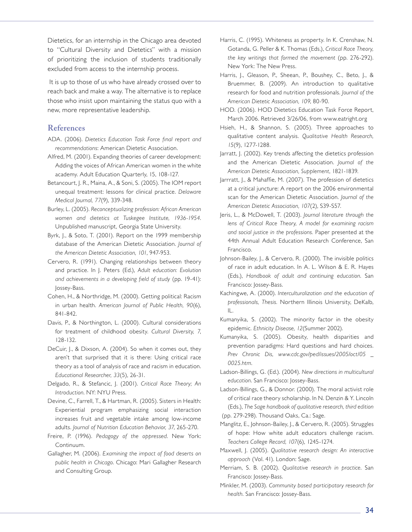Dietetics, for an internship in the Chicago area devoted to "Cultural Diversity and Dietetics" with a mission of prioritizing the inclusion of students traditionally excluded from access to the internship process.

 It is up to those of us who have already crossed over to reach back and make a way. The alternative is to replace those who insist upon maintaining the status quo with a new, more representative leadership.

# **References**

- ADA. (2006). *Dietetics Education Task Force final report and recommendations*: American Dietetic Association.
- Alfred, M. (2001). Expanding theories of career development: Adding the voices of African American women in the white academy. Adult Education Quarterly, 15, 108-127.
- Betancourt, J. R., Maina, A., & Soni, S. (2005). The IOM report unequal treatment: lessons for clinical practice. *Delaware Medical Journal, 77*(9), 339-348.
- Burley, L. (2005). *Reconceptualizing profession: African American women and dietetics at Tuskegee Institute, 1936-1954*. Unpublished manuscript, Georgia State University.
- Byrk, J., & Soto, T. (2001). Report on the 1999 membership database of the American Dietetic Association. *Journal of the American Dietetic Association, 101*, 947-953.
- Cervero, R. (1991). Changing relationships between theory and practice. In J. Peters (Ed.), *Adult education: Evolution and achievements in a developing field of study* (pp. 19-41): Jossey-Bass.
- Cohen, H., & Northridge, M. (2000). Getting political: Racism in urban health. *American Journal of Public Health, 90*(6), 841-842.
- Davis, P., & Northington, L. (2000). Cultural considerations for treatment of childhood obesity. *Cultural Diversity, 7*, 128-132.
- DeCuir, J., & Dixson, A. (2004). So when it comes out, they aren't that surprised that it is there: Using critical race theory as a tool of analysis of race and racism in education. *Educational Researcher, 33*(5), 26-31.
- Delgado, R., & Stefancic, J. (2001). *Critical Race Theory; An Introduction*. NY: NYU Press.
- Devine, C., Farrell, T., & Hartman, R. (2005). Sisters in Health: Experiential program emphasizing social interaction increases fruit and vegetable intake among low-income adults. *Journal of Nutrition Education Behavior, 37*, 265-270.
- Freire, P. (1996). *Pedagogy of the oppressed*. New York: Continuum.
- Gallagher, M. (2006). *Examining the impact of food deserts on public health in Chicago*. Chicago: Mari Gallagher Research and Consulting Group.
- Harris, C. (1995). Whiteness as property. In K. Crenshaw, N. Gotanda, G. Peller & K. Thomas (Eds.), *Critical Race Theory, the key writings that formed the movement* (pp. 276-292). New York: The New Press.
- Harris, J., Gleason, P., Sheean, P., Boushey, C., Beto, J., & Bruemmer, B. (2009). An introduction to qualitative research for food and nutrition professionals. *Journal of the American Dietetic Association, 109*, 80-90.
- HOD. (2006). HOD Dietetics Education Task Force Report, March 2006. Retrieved 3/26/06, from www.eatright.org
- Hsieh, H., & Shannon, S. (2005). Three approaches to qualitative content analysis. *Qualitative Health Research, 15*(9), 1277-1288.
- Jarratt, J. (2002). Key trends affecting the dietetics profession and the American Dietetic Association. *Journal of the American Dietetic Association, Supplement*, 1821-1839.
- Jarrratt, J., & Mahaffie, M. (2007). The profession of dietetics at a critical juncture: A report on the 2006 environmental scan for the American Dietetic Association. *Journal of the American Dietetic Association, 107*(2), S39-S57.
- Jeris, L., & McDowell, T. (2003). *Journal literature through the lens of Critical Race Theory, A model for examining racism and social justice in the professions.* Paper presented at the 44th Annual Adult Education Research Conference, San Francisco.
- Johnson-Bailey, J., & Cervero, R. (2000). The invisible politics of race in adult education. In A. L. Wilson & E. R. Hayes (Eds.), *Handbook of adult and continuing education*. San Francisco: Jossey-Bass.
- Kachingwe, A. (2000). *Interculturalization and the education of professionals, Thesis.* Northern Illinois University, DeKalb, IL.
- Kumanyika, S. (2002). The minority factor in the obesity epidemic. *Ethnicity Disease, 12*(Summer 2002).
- Kumanyika, S. (2005). Obesity, health disparities and prevention paradigms: Hard questions and hard choices. *Prev Chronic Dis, www.cdc.gov/ped/issues/2005/oct/05 \_ 0025.htm*.
- Ladson-Billings, G. (Ed.). (2004). *New directions in multicultural education*. San Francisco: Jossey-Bass.
- Ladson-Billings, G., & Donnor. (2000). The moral activist role of critical race theory scholarship. In N. Denzin & Y. Lincoln (Eds.), *The Sage handbook of qualitative research, third edition* (pp. 279-298). Thousand Oaks, Ca.: Sage.
- Manglitz, E., Johnson-Bailey, J., & Cervero, R. (2005). Struggles of hope: How white adult educators challenge racism. *Teachers College Record, 107*(6), 1245-1274.
- Maxwell, J. (2005). *Qualitative research design: An interactive approach* (Vol. 41). London: Sage.
- Merriam, S. B. (2002). *Qualitative research in practice*. San Francisco: Jossey-Bass.
- Minkler, M. (2003). *Community based participatory research for health*. San Francisco: Jossey-Bass.